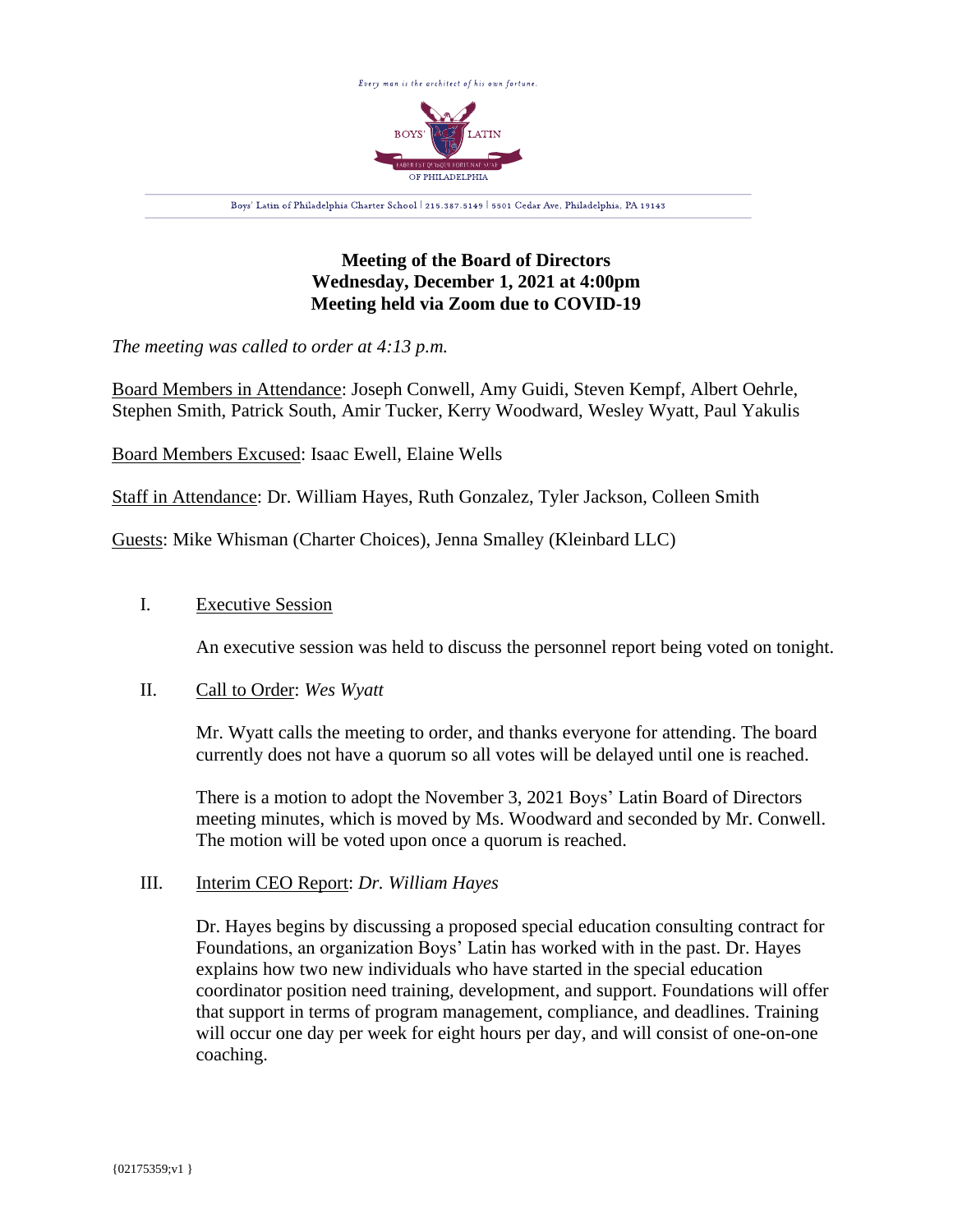

# **Meeting of the Board of Directors Wednesday, December 1, 2021 at 4:00pm Meeting held via Zoom due to COVID-19**

*The meeting was called to order at 4:13 p.m.*

Board Members in Attendance: Joseph Conwell, Amy Guidi, Steven Kempf, Albert Oehrle, Stephen Smith, Patrick South, Amir Tucker, Kerry Woodward, Wesley Wyatt, Paul Yakulis

Board Members Excused: Isaac Ewell, Elaine Wells

Staff in Attendance: Dr. William Hayes, Ruth Gonzalez, Tyler Jackson, Colleen Smith

Guests: Mike Whisman (Charter Choices), Jenna Smalley (Kleinbard LLC)

### I. Executive Session

An executive session was held to discuss the personnel report being voted on tonight.

### II. Call to Order: *Wes Wyatt*

Mr. Wyatt calls the meeting to order, and thanks everyone for attending. The board currently does not have a quorum so all votes will be delayed until one is reached.

There is a motion to adopt the November 3, 2021 Boys' Latin Board of Directors meeting minutes, which is moved by Ms. Woodward and seconded by Mr. Conwell. The motion will be voted upon once a quorum is reached.

#### III. Interim CEO Report: *Dr. William Hayes*

Dr. Hayes begins by discussing a proposed special education consulting contract for Foundations, an organization Boys' Latin has worked with in the past. Dr. Hayes explains how two new individuals who have started in the special education coordinator position need training, development, and support. Foundations will offer that support in terms of program management, compliance, and deadlines. Training will occur one day per week for eight hours per day, and will consist of one-on-one coaching.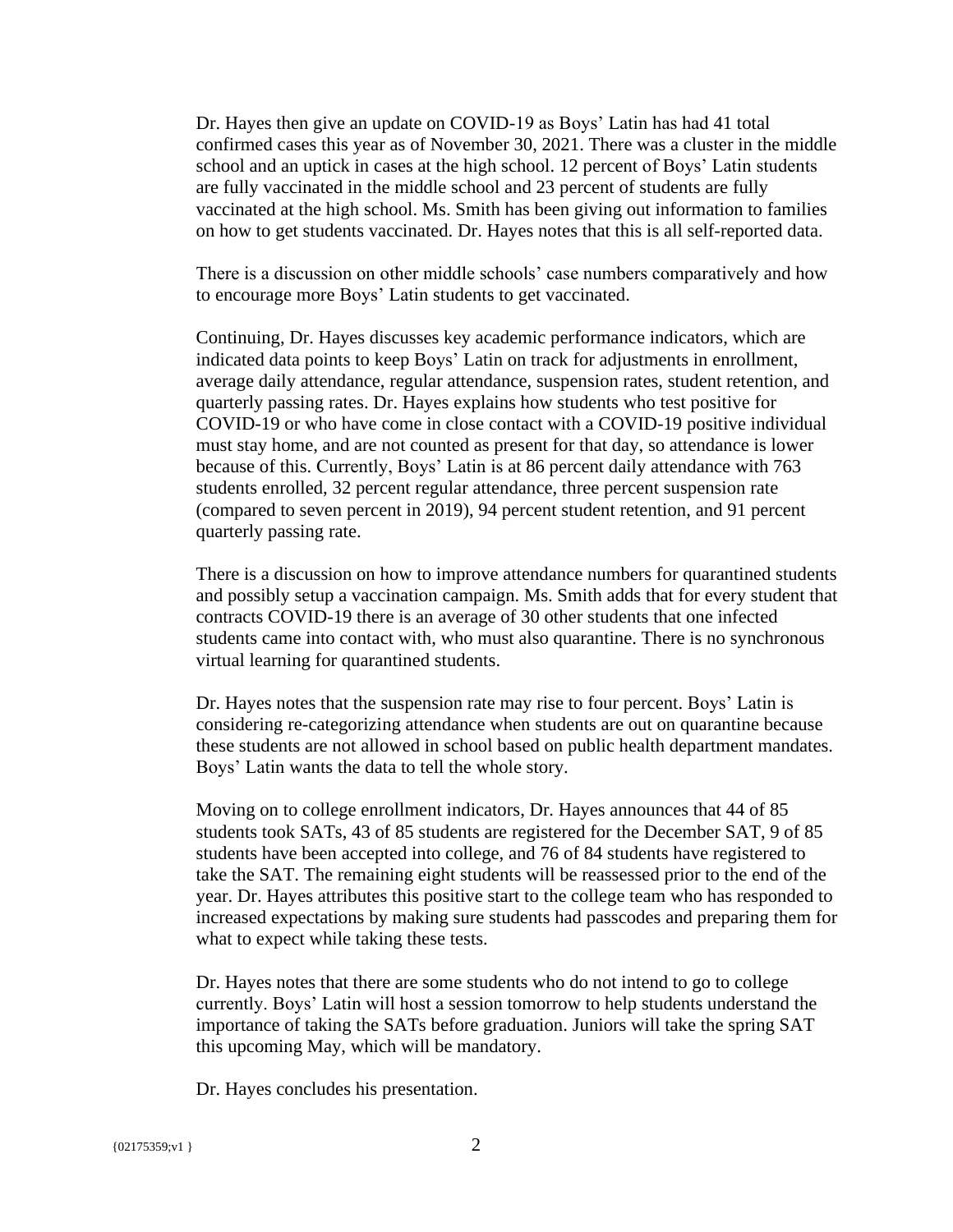Dr. Hayes then give an update on COVID-19 as Boys' Latin has had 41 total confirmed cases this year as of November 30, 2021. There was a cluster in the middle school and an uptick in cases at the high school. 12 percent of Boys' Latin students are fully vaccinated in the middle school and 23 percent of students are fully vaccinated at the high school. Ms. Smith has been giving out information to families on how to get students vaccinated. Dr. Hayes notes that this is all self-reported data.

There is a discussion on other middle schools' case numbers comparatively and how to encourage more Boys' Latin students to get vaccinated.

Continuing, Dr. Hayes discusses key academic performance indicators, which are indicated data points to keep Boys' Latin on track for adjustments in enrollment, average daily attendance, regular attendance, suspension rates, student retention, and quarterly passing rates. Dr. Hayes explains how students who test positive for COVID-19 or who have come in close contact with a COVID-19 positive individual must stay home, and are not counted as present for that day, so attendance is lower because of this. Currently, Boys' Latin is at 86 percent daily attendance with 763 students enrolled, 32 percent regular attendance, three percent suspension rate (compared to seven percent in 2019), 94 percent student retention, and 91 percent quarterly passing rate.

There is a discussion on how to improve attendance numbers for quarantined students and possibly setup a vaccination campaign. Ms. Smith adds that for every student that contracts COVID-19 there is an average of 30 other students that one infected students came into contact with, who must also quarantine. There is no synchronous virtual learning for quarantined students.

Dr. Hayes notes that the suspension rate may rise to four percent. Boys' Latin is considering re-categorizing attendance when students are out on quarantine because these students are not allowed in school based on public health department mandates. Boys' Latin wants the data to tell the whole story.

Moving on to college enrollment indicators, Dr. Hayes announces that 44 of 85 students took SATs, 43 of 85 students are registered for the December SAT, 9 of 85 students have been accepted into college, and 76 of 84 students have registered to take the SAT. The remaining eight students will be reassessed prior to the end of the year. Dr. Hayes attributes this positive start to the college team who has responded to increased expectations by making sure students had passcodes and preparing them for what to expect while taking these tests.

Dr. Hayes notes that there are some students who do not intend to go to college currently. Boys' Latin will host a session tomorrow to help students understand the importance of taking the SATs before graduation. Juniors will take the spring SAT this upcoming May, which will be mandatory.

Dr. Hayes concludes his presentation.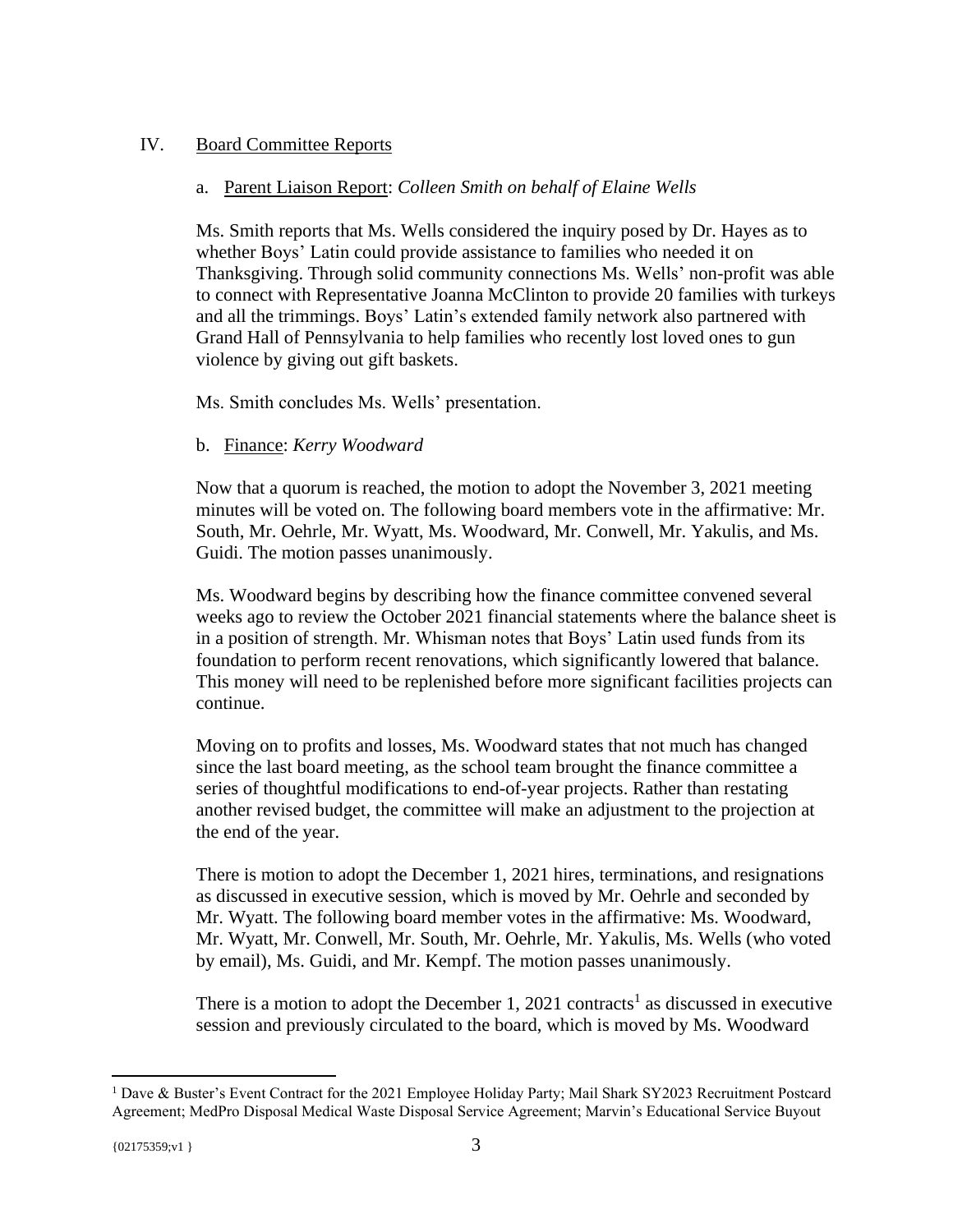## IV. Board Committee Reports

### a. Parent Liaison Report: *Colleen Smith on behalf of Elaine Wells*

Ms. Smith reports that Ms. Wells considered the inquiry posed by Dr. Hayes as to whether Boys' Latin could provide assistance to families who needed it on Thanksgiving. Through solid community connections Ms. Wells' non-profit was able to connect with Representative Joanna McClinton to provide 20 families with turkeys and all the trimmings. Boys' Latin's extended family network also partnered with Grand Hall of Pennsylvania to help families who recently lost loved ones to gun violence by giving out gift baskets.

Ms. Smith concludes Ms. Wells' presentation.

## b. Finance: *Kerry Woodward*

Now that a quorum is reached, the motion to adopt the November 3, 2021 meeting minutes will be voted on. The following board members vote in the affirmative: Mr. South, Mr. Oehrle, Mr. Wyatt, Ms. Woodward, Mr. Conwell, Mr. Yakulis, and Ms. Guidi. The motion passes unanimously.

Ms. Woodward begins by describing how the finance committee convened several weeks ago to review the October 2021 financial statements where the balance sheet is in a position of strength. Mr. Whisman notes that Boys' Latin used funds from its foundation to perform recent renovations, which significantly lowered that balance. This money will need to be replenished before more significant facilities projects can continue.

Moving on to profits and losses, Ms. Woodward states that not much has changed since the last board meeting, as the school team brought the finance committee a series of thoughtful modifications to end-of-year projects. Rather than restating another revised budget, the committee will make an adjustment to the projection at the end of the year.

There is motion to adopt the December 1, 2021 hires, terminations, and resignations as discussed in executive session, which is moved by Mr. Oehrle and seconded by Mr. Wyatt. The following board member votes in the affirmative: Ms. Woodward, Mr. Wyatt, Mr. Conwell, Mr. South, Mr. Oehrle, Mr. Yakulis, Ms. Wells (who voted by email), Ms. Guidi, and Mr. Kempf. The motion passes unanimously.

There is a motion to adopt the December 1, 2021 contracts<sup>1</sup> as discussed in executive session and previously circulated to the board, which is moved by Ms. Woodward

<sup>1</sup> Dave & Buster's Event Contract for the 2021 Employee Holiday Party; Mail Shark SY2023 Recruitment Postcard Agreement; MedPro Disposal Medical Waste Disposal Service Agreement; Marvin's Educational Service Buyout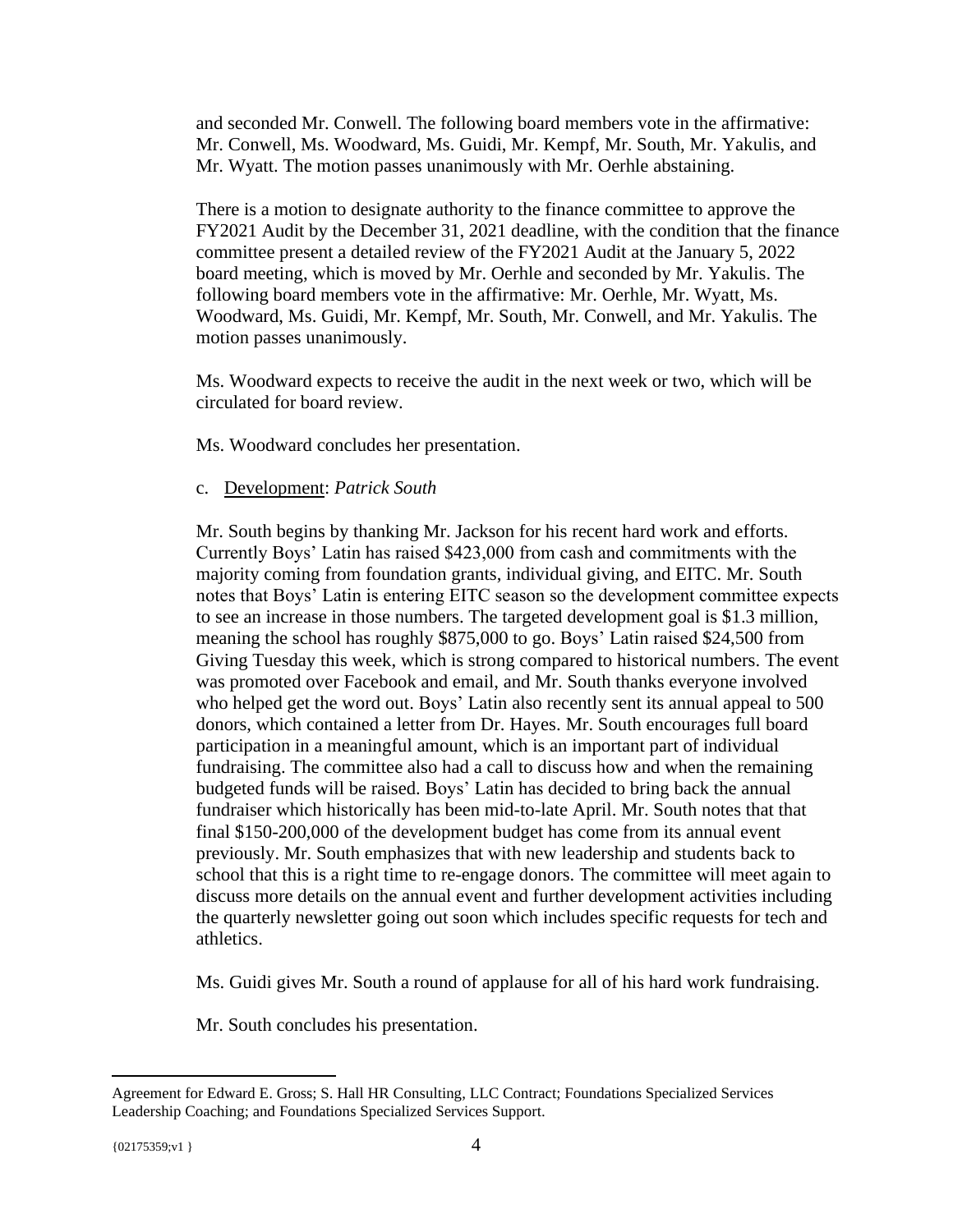and seconded Mr. Conwell. The following board members vote in the affirmative: Mr. Conwell, Ms. Woodward, Ms. Guidi, Mr. Kempf, Mr. South, Mr. Yakulis, and Mr. Wyatt. The motion passes unanimously with Mr. Oerhle abstaining.

There is a motion to designate authority to the finance committee to approve the FY2021 Audit by the December 31, 2021 deadline, with the condition that the finance committee present a detailed review of the FY2021 Audit at the January 5, 2022 board meeting, which is moved by Mr. Oerhle and seconded by Mr. Yakulis. The following board members vote in the affirmative: Mr. Oerhle, Mr. Wyatt, Ms. Woodward, Ms. Guidi, Mr. Kempf, Mr. South, Mr. Conwell, and Mr. Yakulis. The motion passes unanimously.

Ms. Woodward expects to receive the audit in the next week or two, which will be circulated for board review.

Ms. Woodward concludes her presentation.

### c. Development: *Patrick South*

Mr. South begins by thanking Mr. Jackson for his recent hard work and efforts. Currently Boys' Latin has raised \$423,000 from cash and commitments with the majority coming from foundation grants, individual giving, and EITC. Mr. South notes that Boys' Latin is entering EITC season so the development committee expects to see an increase in those numbers. The targeted development goal is \$1.3 million, meaning the school has roughly \$875,000 to go. Boys' Latin raised \$24,500 from Giving Tuesday this week, which is strong compared to historical numbers. The event was promoted over Facebook and email, and Mr. South thanks everyone involved who helped get the word out. Boys' Latin also recently sent its annual appeal to 500 donors, which contained a letter from Dr. Hayes. Mr. South encourages full board participation in a meaningful amount, which is an important part of individual fundraising. The committee also had a call to discuss how and when the remaining budgeted funds will be raised. Boys' Latin has decided to bring back the annual fundraiser which historically has been mid-to-late April. Mr. South notes that that final \$150-200,000 of the development budget has come from its annual event previously. Mr. South emphasizes that with new leadership and students back to school that this is a right time to re-engage donors. The committee will meet again to discuss more details on the annual event and further development activities including the quarterly newsletter going out soon which includes specific requests for tech and athletics.

Ms. Guidi gives Mr. South a round of applause for all of his hard work fundraising.

Mr. South concludes his presentation.

Agreement for Edward E. Gross; S. Hall HR Consulting, LLC Contract; Foundations Specialized Services Leadership Coaching; and Foundations Specialized Services Support.